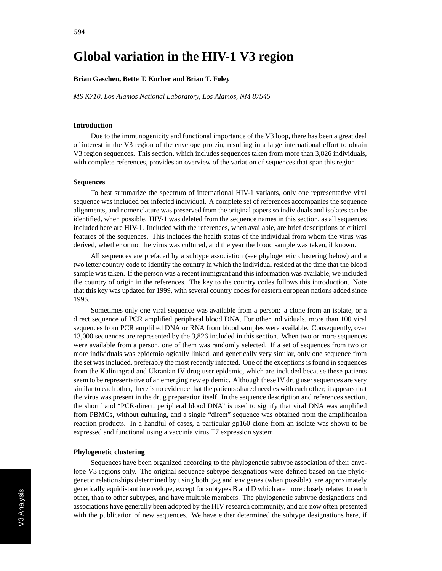# **Global variation in the HIV-1 V3 region**

## **Brian Gaschen, Bette T. Korber and Brian T. Foley**

*MS K710, Los Alamos National Laboratory, Los Alamos, NM 87545*

#### **Introduction**

Due to the immunogenicity and functional importance of the V3 loop, there has been a great deal of interest in the V3 region of the envelope protein, resulting in a large international effort to obtain V3 region sequences. This section, which includes sequences taken from more than 3,826 individuals, with complete references, provides an overview of the variation of sequences that span this region.

#### **Sequences**

To best summarize the spectrum of international HIV-1 variants, only one representative viral sequence was included per infected individual. A complete set of references accompanies the sequence alignments, and nomenclature was preserved from the original papers so individuals and isolates can be identified, when possible. HIV-1 was deleted from the sequence names in this section, as all sequences included here are HIV-1. Included with the references, when available, are brief descriptions of critical features of the sequences. This includes the health status of the individual from whom the virus was derived, whether or not the virus was cultured, and the year the blood sample was taken, if known.

All sequences are prefaced by a subtype association (see phylogenetic clustering below) and a two letter country code to identify the country in which the individual resided at the time that the blood sample was taken. If the person was a recent immigrant and this information was available, we included the country of origin in the references. The key to the country codes follows this introduction. Note that this key was updated for 1999, with several country codes for eastern european nations added since 1995.

Sometimes only one viral sequence was available from a person: a clone from an isolate, or a direct sequence of PCR amplified peripheral blood DNA. For other individuals, more than 100 viral sequences from PCR amplified DNA or RNA from blood samples were available. Consequently, over 13,000 sequences are represented by the 3,826 included in this section. When two or more sequences were available from a person, one of them was randomly selected. If a set of sequences from two or more individuals was epidemiologically linked, and genetically very similar, only one sequence from the set was included, preferably the most recently infected. One of the exceptions is found in sequences from the Kaliningrad and Ukranian IV drug user epidemic, which are included because these patients seem to be representative of an emerging new epidemic. Although these IV drug user sequences are very similar to each other, there is no evidence that the patients shared needles with each other; it appears that the virus was present in the drug preparation itself. In the sequence description and references section, the short hand "PCR-direct, peripheral blood DNA" is used to signify that viral DNA was amplified from PBMCs, without culturing, and a single "direct" sequence was obtained from the amplification reaction products. In a handful of cases, a particular gp160 clone from an isolate was shown to be expressed and functional using a vaccinia virus T7 expression system.

## **Phylogenetic clustering**

Sequences have been organized according to the phylogenetic subtype association of their envelope V3 regions only. The original sequence subtype designations were defined based on the phylogenetic relationships determined by using both gag and env genes (when possible), are approximately genetically equidistant in envelope, except for subtypes B and D which are more closely related to each other, than to other subtypes, and have multiple members. The phylogenetic subtype designations and associations have generally been adopted by the HIV research community, and are now often presented with the publication of new sequences. We have either determined the subtype designations here, if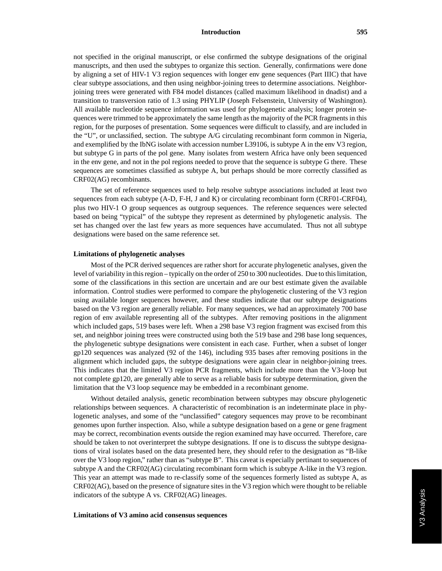#### **Introduction 595**

not specified in the original manuscript, or else confirmed the subtype designations of the original manuscripts, and then used the subtypes to organize this section. Generally, confirmations were done by aligning a set of HIV-1 V3 region sequences with longer env gene sequences (Part IIIC) that have clear subtype associations, and then using neighbor-joining trees to determine associations. Neighborjoining trees were generated with F84 model distances (called maximum likelihood in dnadist) and a transition to transversion ratio of 1.3 using PHYLIP (Joseph Felsenstein, University of Washington). All available nucleotide sequence information was used for phylogenetic analysis; longer protein sequences were trimmed to be approximately the same length as the majority of the PCR fragments in this region, for the purposes of presentation. Some sequences were difficult to classify, and are included in the "U", or unclassified, section. The subtype A/G circulating recombinant form common in Nigeria, and exemplified by the IbNG isolate with accession number L39106, is subtype A in the env V3 region, but subtype G in parts of the pol gene. Many isolates from western Africa have only been sequenced in the env gene, and not in the pol regions needed to prove that the sequence is subtype G there. These sequences are sometimes classified as subtype A, but perhaps should be more correctly classified as CRF02(AG) recombinants.

The set of reference sequences used to help resolve subtype associations included at least two sequences from each subtype (A-D, F-H, J and K) or circulating recombinant form (CRF01-CRF04), plus two HIV-1 O group sequences as outgroup sequences. The reference sequences were selected based on being "typical" of the subtype they represent as determined by phylogenetic analysis. The set has changed over the last few years as more sequences have accumulated. Thus not all subtype designations were based on the same reference set.

### **Limitations of phylogenetic analyses**

Most of the PCR derived sequences are rather short for accurate phylogenetic analyses, given the level of variability in this region – typically on the order of 250 to 300 nucleotides. Due to this limitation, some of the classifications in this section are uncertain and are our best estimate given the available information. Control studies were performed to compare the phylogenetic clustering of the V3 region using available longer sequences however, and these studies indicate that our subtype designations based on the V3 region are generally reliable. For many sequences, we had an approximately 700 base region of env available representing all of the subtypes. After removing positions in the alignment which included gaps, 519 bases were left. When a 298 base V3 region fragment was excised from this set, and neighbor joining trees were constructed using both the 519 base and 298 base long sequences, the phylogenetic subtype designations were consistent in each case. Further, when a subset of longer gp120 sequences was analyzed (92 of the 146), including 935 bases after removing positions in the alignment which included gaps, the subtype designations were again clear in neighbor-joining trees. This indicates that the limited V3 region PCR fragments, which include more than the V3-loop but not complete gp120, are generally able to serve as a reliable basis for subtype determination, given the limitation that the V3 loop sequence may be embedded in a recombinant genome.

Without detailed analysis, genetic recombination between subtypes may obscure phylogenetic relationships between sequences. A characteristic of recombination is an indeterminate place in phylogenetic analyses, and some of the "unclassified" category sequences may prove to be recombinant genomes upon further inspection. Also, while a subtype designation based on a gene or gene fragment may be correct, recombination events outside the region examined may have occurred. Therefore, care should be taken to not overinterpret the subtype designations. If one is to discuss the subtype designations of viral isolates based on the data presented here, they should refer to the designation as "B-like over the V3 loop region," rather than as "subtype B". This caveat is especially pertinant to sequences of subtype A and the CRF02(AG) circulating recombinant form which is subtype A-like in the V3 region. This year an attempt was made to re-classify some of the sequences formerly listed as subtype A, as CRF02(AG), based on the presence of signature sites in the V3 region which were thought to be reliable indicators of the subtype A vs. CRF02(AG) lineages.

### **Limitations of V3 amino acid consensus sequences**